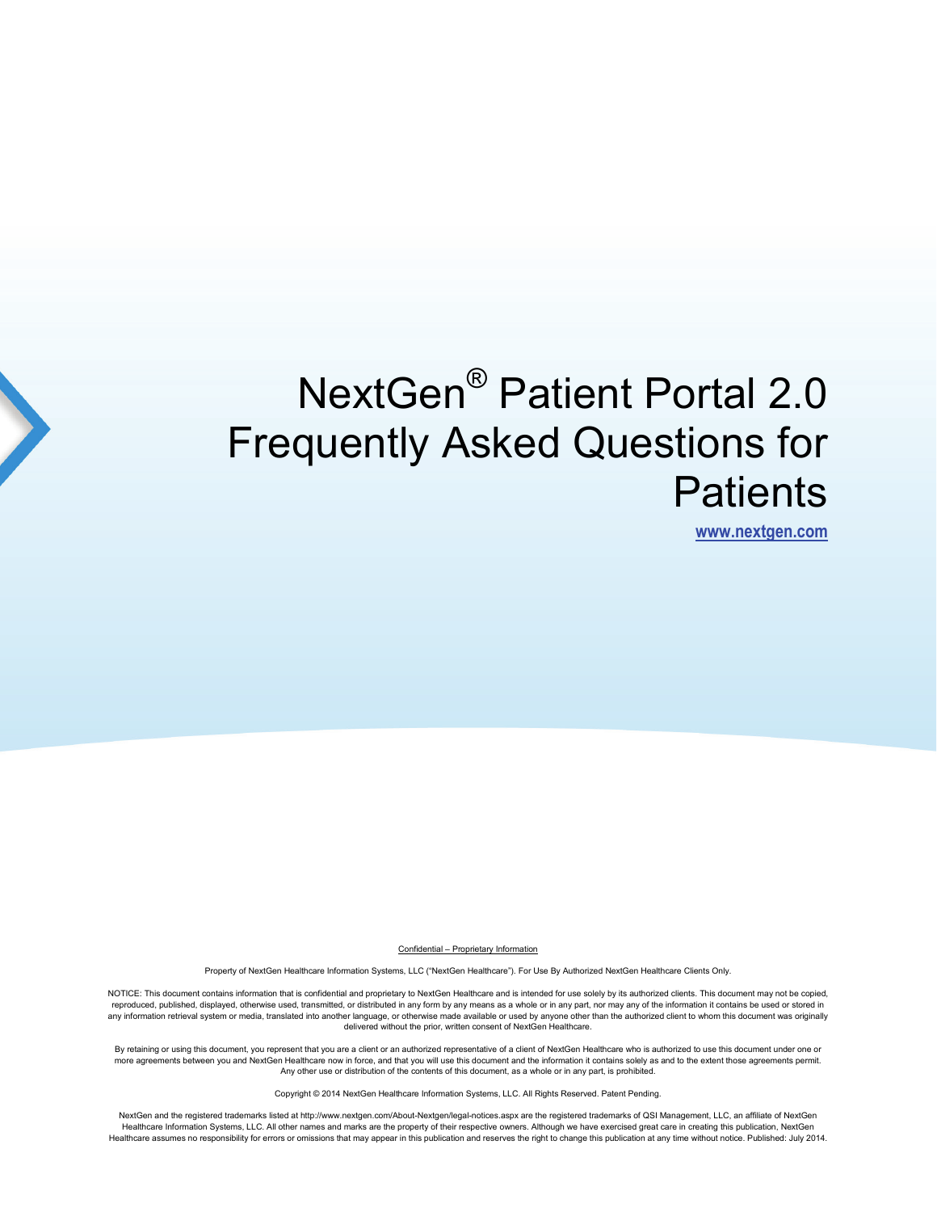# NextGen® Patient Portal 2.0 Frequently Asked Questions for **Patients**

**[www.nextgen.com](http://www.nextgen.com/)**

Confidential – Proprietary Information

Property of NextGen Healthcare Information Systems, LLC ("NextGen Healthcare"). For Use By Authorized NextGen Healthcare Clients Only.

NOTICE: This document contains information that is confidential and proprietary to NextGen Healthcare and is intended for use solely by its authorized clients. This document may not be copied, reproduced, published, displayed, otherwise used, transmitted, or distributed in any form by any means as a whole or in any part, nor may any of the information it contains be used or stored in any information retrieval system or media, translated into another language, or otherwise made available or used by anyone other than the authorized client to whom this document was originally delivered without the prior, written consent of NextGen Healthcare.

By retaining or using this document, you represent that you are a client or an authorized representative of a client of NextGen Healthcare who is authorized to use this document under one or more agreements between you and NextGen Healthcare now in force, and that you will use this document and the information it contains solely as and to the extent those agreements permit.<br>Any other use or distribution of the

Copyright © 2014 NextGen Healthcare Information Systems, LLC. All Rights Reserved. Patent Pending.

NextGen and the registered trademarks listed at http://www.nextgen.com/About-Nextgen/legal-notices.aspx are the registered trademarks of QSI Management, LLC, an affiliate of NextGen Healthcare Information Systems, LLC. All other names and marks are the property of their respective owners. Although we have exercised great care in creating this publication, NextGen Healthcare assumes no responsibility for errors or omissions that may appear in this publication and reserves the right to change this publication at any time without notice. Published: July 2014.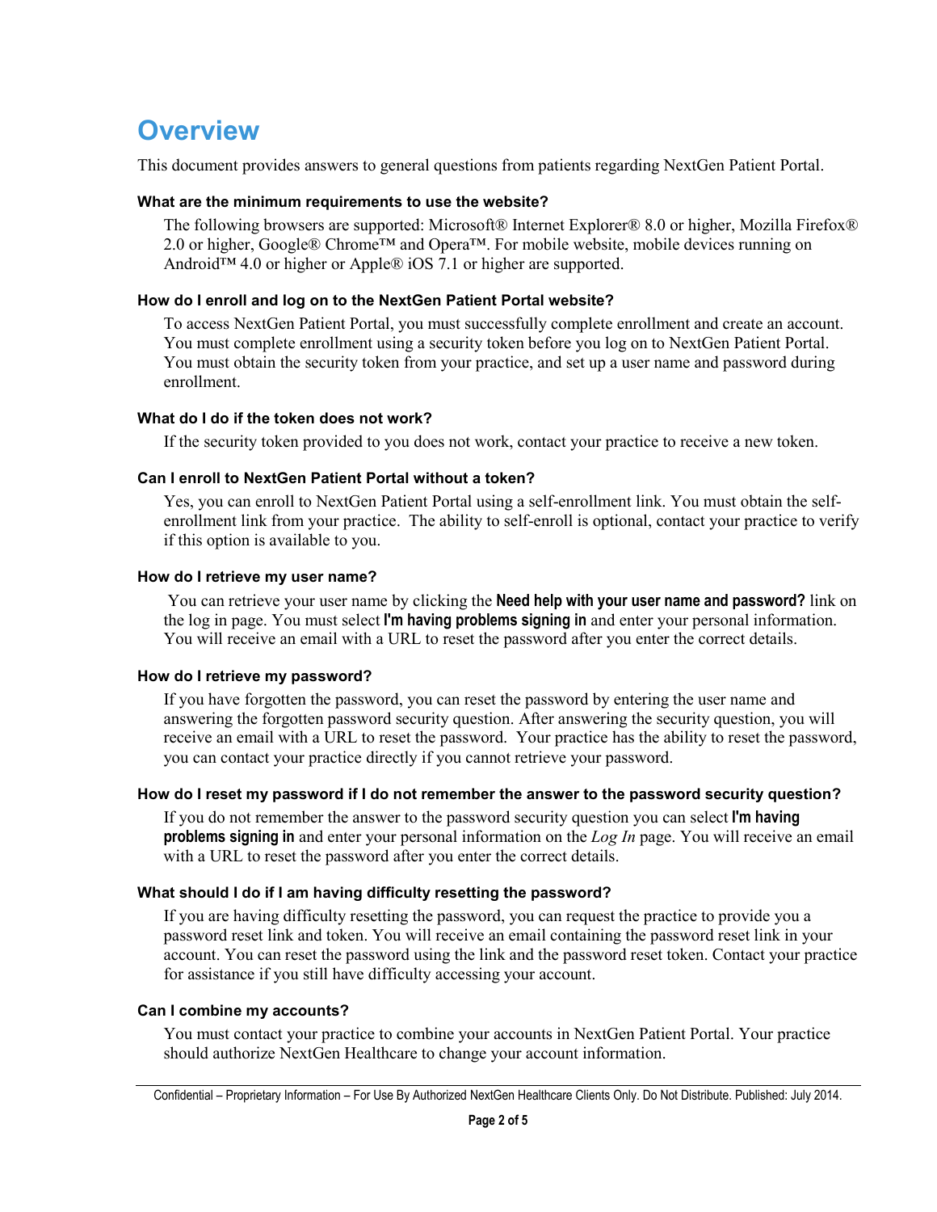# **Overview**

This document provides answers to general questions from patients regarding NextGen Patient Portal.

#### **What are the minimum requirements to use the website?**

The following browsers are supported: Microsoft® Internet Explorer® 8.0 or higher, Mozilla Firefox® 2.0 or higher, Google® Chrome™ and Opera™. For mobile website, mobile devices running on Android™ 4.0 or higher or Apple® iOS 7.1 or higher are supported.

# **How do I enroll and log on to the NextGen Patient Portal website?**

To access NextGen Patient Portal, you must successfully complete enrollment and create an account. You must complete enrollment using a security token before you log on to NextGen Patient Portal. You must obtain the security token from your practice, and set up a user name and password during enrollment.

# **What do I do if the token does not work?**

If the security token provided to you does not work, contact your practice to receive a new token.

# **Can I enroll to NextGen Patient Portal without a token?**

Yes, you can enroll to NextGen Patient Portal using a self-enrollment link. You must obtain the selfenrollment link from your practice. The ability to self-enroll is optional, contact your practice to verify if this option is available to you.

# **How do I retrieve my user name?**

You can retrieve your user name by clicking the **Need help with your user name and password?** link on the log in page. You must select **I'm having problems signing in** and enter your personal information. You will receive an email with a URL to reset the password after you enter the correct details.

# **How do I retrieve my password?**

If you have forgotten the password, you can reset the password by entering the user name and answering the forgotten password security question. After answering the security question, you will receive an email with a URL to reset the password. Your practice has the ability to reset the password, you can contact your practice directly if you cannot retrieve your password.

#### **How do I reset my password if I do not remember the answer to the password security question?**

If you do not remember the answer to the password security question you can select **I'm having problems signing in** and enter your personal information on the *Log In* page. You will receive an email with a URL to reset the password after you enter the correct details.

# **What should I do if I am having difficulty resetting the password?**

If you are having difficulty resetting the password, you can request the practice to provide you a password reset link and token. You will receive an email containing the password reset link in your account. You can reset the password using the link and the password reset token. Contact your practice for assistance if you still have difficulty accessing your account.

#### **Can I combine my accounts?**

You must contact your practice to combine your accounts in NextGen Patient Portal. Your practice should authorize NextGen Healthcare to change your account information.

Confidential – Proprietary Information – For Use By Authorized NextGen Healthcare Clients Only. Do Not Distribute. Published: July 2014.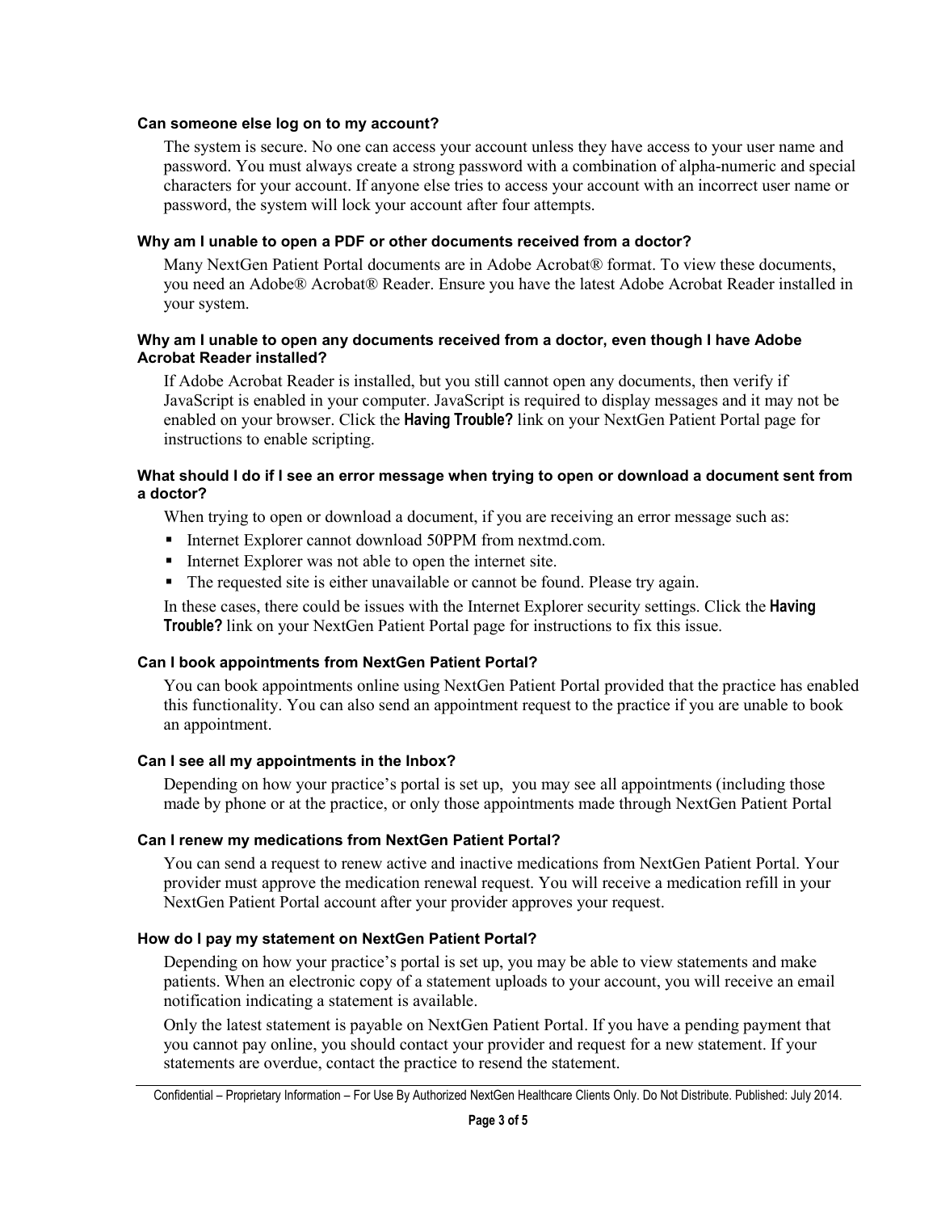#### **Can someone else log on to my account?**

The system is secure. No one can access your account unless they have access to your user name and password. You must always create a strong password with a combination of alpha-numeric and special characters for your account. If anyone else tries to access your account with an incorrect user name or password, the system will lock your account after four attempts.

#### **Why am I unable to open a PDF or other documents received from a doctor?**

Many NextGen Patient Portal documents are in Adobe Acrobat® format. To view these documents, you need an Adobe® Acrobat® Reader. Ensure you have the latest Adobe Acrobat Reader installed in your system.

#### **Why am I unable to open any documents received from a doctor, even though I have Adobe Acrobat Reader installed?**

If Adobe Acrobat Reader is installed, but you still cannot open any documents, then verify if JavaScript is enabled in your computer. JavaScript is required to display messages and it may not be enabled on your browser. Click the **Having Trouble?** link on your NextGen Patient Portal page for instructions to enable scripting.

#### **What should I do if I see an error message when trying to open or download a document sent from a doctor?**

When trying to open or download a document, if you are receiving an error message such as:

- Internet Explorer cannot download 50PPM from nextmd.com.
- Internet Explorer was not able to open the internet site.
- The requested site is either unavailable or cannot be found. Please try again.

In these cases, there could be issues with the Internet Explorer security settings. Click the **Having Trouble?** link on your NextGen Patient Portal page for instructions to fix this issue.

# **Can I book appointments from NextGen Patient Portal?**

You can book appointments online using NextGen Patient Portal provided that the practice has enabled this functionality. You can also send an appointment request to the practice if you are unable to book an appointment.

# **Can I see all my appointments in the Inbox?**

Depending on how your practice's portal is set up, you may see all appointments (including those made by phone or at the practice, or only those appointments made through NextGen Patient Portal

#### **Can I renew my medications from NextGen Patient Portal?**

You can send a request to renew active and inactive medications from NextGen Patient Portal. Your provider must approve the medication renewal request. You will receive a medication refill in your NextGen Patient Portal account after your provider approves your request.

#### **How do I pay my statement on NextGen Patient Portal?**

Depending on how your practice's portal is set up, you may be able to view statements and make patients. When an electronic copy of a statement uploads to your account, you will receive an email notification indicating a statement is available.

Only the latest statement is payable on NextGen Patient Portal. If you have a pending payment that you cannot pay online, you should contact your provider and request for a new statement. If your statements are overdue, contact the practice to resend the statement.

Confidential – Proprietary Information – For Use By Authorized NextGen Healthcare Clients Only. Do Not Distribute. Published: July 2014.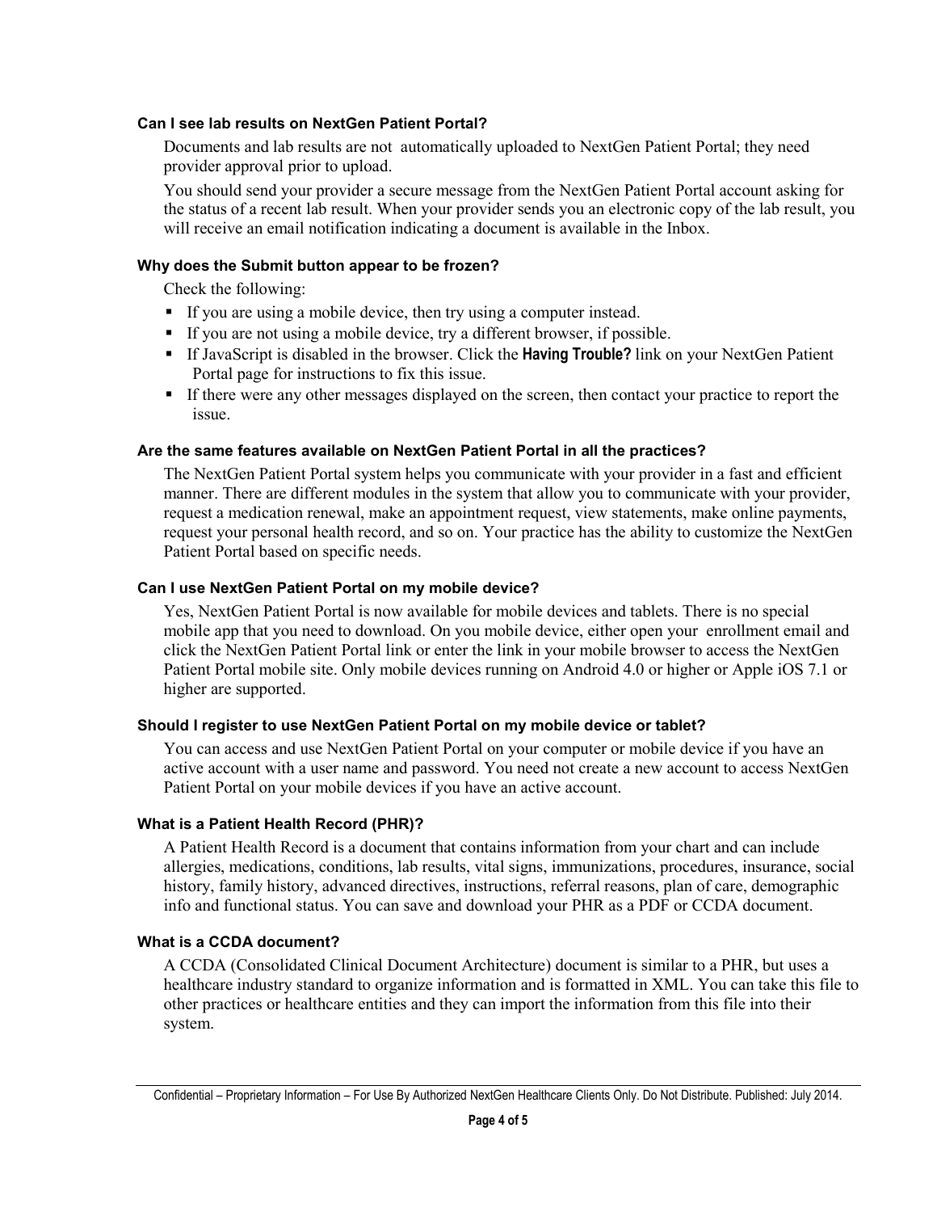#### **Can I see lab results on NextGen Patient Portal?**

Documents and lab results are not automatically uploaded to NextGen Patient Portal; they need provider approval prior to upload.

You should send your provider a secure message from the NextGen Patient Portal account asking for the status of a recent lab result. When your provider sends you an electronic copy of the lab result, you will receive an email notification indicating a document is available in the Inbox.

# **Why does the Submit button appear to be frozen?**

Check the following:

- If you are using a mobile device, then try using a computer instead.
- If you are not using a mobile device, try a different browser, if possible.
- If JavaScript is disabled in the browser. Click the **Having Trouble?** link on your NextGen Patient Portal page for instructions to fix this issue.
- If there were any other messages displayed on the screen, then contact your practice to report the issue.

# **Are the same features available on NextGen Patient Portal in all the practices?**

The NextGen Patient Portal system helps you communicate with your provider in a fast and efficient manner. There are different modules in the system that allow you to communicate with your provider, request a medication renewal, make an appointment request, view statements, make online payments, request your personal health record, and so on. Your practice has the ability to customize the NextGen Patient Portal based on specific needs.

# **Can I use NextGen Patient Portal on my mobile device?**

Yes, NextGen Patient Portal is now available for mobile devices and tablets. There is no special mobile app that you need to download. On you mobile device, either open your enrollment email and click the NextGen Patient Portal link or enter the link in your mobile browser to access the NextGen Patient Portal mobile site. Only mobile devices running on Android 4.0 or higher or Apple iOS 7.1 or higher are supported.

#### **Should I register to use NextGen Patient Portal on my mobile device or tablet?**

You can access and use NextGen Patient Portal on your computer or mobile device if you have an active account with a user name and password. You need not create a new account to access NextGen Patient Portal on your mobile devices if you have an active account.

# **What is a Patient Health Record (PHR)?**

A Patient Health Record is a document that contains information from your chart and can include allergies, medications, conditions, lab results, vital signs, immunizations, procedures, insurance, social history, family history, advanced directives, instructions, referral reasons, plan of care, demographic info and functional status. You can save and download your PHR as a PDF or CCDA document.

#### **What is a CCDA document?**

A CCDA (Consolidated Clinical Document Architecture) document is similar to a PHR, but uses a healthcare industry standard to organize information and is formatted in XML. You can take this file to other practices or healthcare entities and they can import the information from this file into their system.

Confidential – Proprietary Information – For Use By Authorized NextGen Healthcare Clients Only. Do Not Distribute. Published: July 2014.